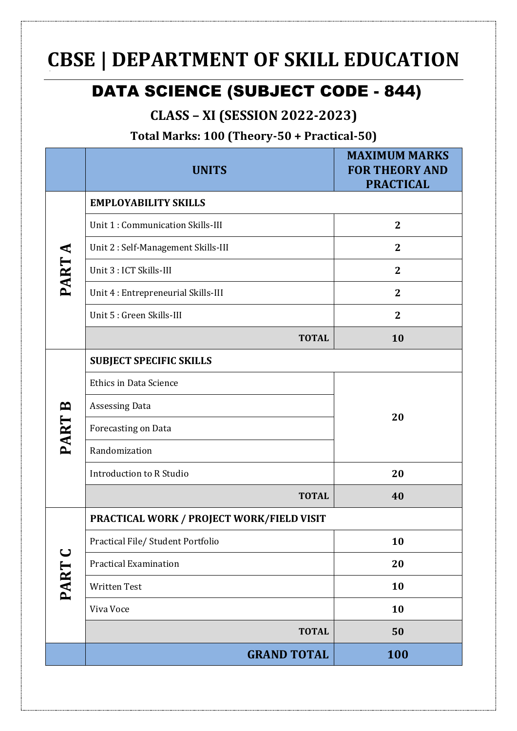# **CBSE | DEPARTMENT OF SKILL EDUCATION**

## DATA SCIENCE (SUBJECT CODE - 844)

#### **CLASS – XI (SESSION 2022-2023)**

**Total Marks: 100 (Theory-50 + Practical-50)**

|                     | <b>UNITS</b>                                     | <b>MAXIMUM MARKS</b><br><b>FOR THEORY AND</b><br><b>PRACTICAL</b> |  |
|---------------------|--------------------------------------------------|-------------------------------------------------------------------|--|
| PART A              | <b>EMPLOYABILITY SKILLS</b>                      |                                                                   |  |
|                     | Unit 1 : Communication Skills-III                | $\mathbf{2}$                                                      |  |
|                     | Unit 2 : Self-Management Skills-III              | $\mathbf{2}$                                                      |  |
|                     | Unit 3 : ICT Skills-III                          | $\mathbf{2}$                                                      |  |
|                     | Unit 4 : Entrepreneurial Skills-III              | $\overline{2}$                                                    |  |
|                     | Unit 5 : Green Skills-III                        | $\boldsymbol{2}$                                                  |  |
|                     | <b>TOTAL</b>                                     | 10                                                                |  |
| PART B              | <b>SUBJECT SPECIFIC SKILLS</b>                   |                                                                   |  |
|                     | <b>Ethics in Data Science</b>                    | 20                                                                |  |
|                     | <b>Assessing Data</b>                            |                                                                   |  |
|                     | Forecasting on Data                              |                                                                   |  |
|                     | Randomization                                    |                                                                   |  |
|                     | <b>Introduction to R Studio</b>                  | 20                                                                |  |
|                     | <b>TOTAL</b>                                     | 40                                                                |  |
| $\mathbf C$<br>PART | <b>PRACTICAL WORK / PROJECT WORK/FIELD VISIT</b> |                                                                   |  |
|                     | Practical File/ Student Portfolio                | 10                                                                |  |
|                     | <b>Practical Examination</b>                     | 20                                                                |  |
|                     | <b>Written Test</b>                              | 10                                                                |  |
|                     | Viva Voce                                        | 10                                                                |  |
|                     | <b>TOTAL</b>                                     | 50                                                                |  |
|                     | <b>GRAND TOTAL</b>                               | 100                                                               |  |